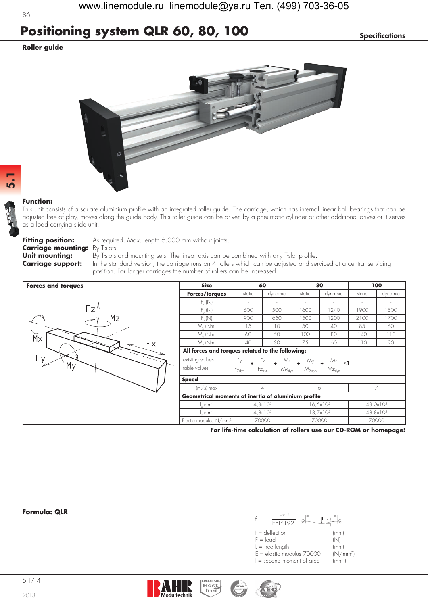## **Positioning system QLR 60, 80, 100** *Specifications*

### **Roller guide**



#### **Function:**

This unit consists of a square aluminium profile with an integrated roller guide. The carriage, which has internal linear ball bearings that can be adjusted free of play, moves along the guide body. This roller guide can be driven by a pneumatic cylinder or other additional drives or it serves as a load carrying slide unit.

**Carriage mounting:** By T-slots.

**Fitting position:** As required. Max. length 6.000 mm without joints.

**Unit mounting:** By T-slots and mounting sets. The linear axis can be combined with any T-slot profile.<br>**Carriage support:** In the standard version, the carriage runs on 4 rollers which can be adjusted and set **Carriage support:** In the standard version, the carriage runs on 4 rollers which can be adjusted and serviced at a central servicing position. For longer carriages the number of rollers can be increased.



| Size                                                | 60                                            |                                                                                                                                               | 80                    |                | 100                  |         |
|-----------------------------------------------------|-----------------------------------------------|-----------------------------------------------------------------------------------------------------------------------------------------------|-----------------------|----------------|----------------------|---------|
| Forces/torques                                      | static                                        | dynamic                                                                                                                                       | static                | dynamic        | static               | dynamic |
| $F_{v}$ (N)                                         |                                               |                                                                                                                                               |                       |                |                      |         |
| $F_{v}$ (N)                                         | 600                                           | 500                                                                                                                                           | 1600                  | 1240           | 1900                 | 1500    |
| $F_{\alpha}(N)$                                     | 900                                           | 650                                                                                                                                           | 1500                  | 1200           | 2100                 | 1700    |
| $M_{.}$ (Nm)                                        | 15                                            | 10                                                                                                                                            | 50                    | 40             | 85                   | 60      |
| $M_{.}$ (Nm)                                        | 60                                            | 50                                                                                                                                            | 100                   | 80             | 140                  | 110     |
| $M_{.}$ (Nm)                                        | 40                                            | 30                                                                                                                                            | 75                    | 60             | 110                  | 90      |
| existing values<br>table values<br><b>Speed</b>     | $\frac{F_y}{\sqrt{2}}$ +<br>Fy <sub>dyn</sub> | $\frac{Fz}{\sqrt{2}}$ + $\frac{Mx}{\sqrt{2}}$ + $\frac{My}{\sqrt{2}}$ + $\frac{Mz}{\sqrt{2}}$ <1<br>$F_{Z_{dyn}}$ $M_{X_{dyn}}$ $M_{Y_{dyn}}$ |                       | $Mz_{\rm dyn}$ |                      |         |
| $(m/s)$ max                                         | 4                                             |                                                                                                                                               | 6                     |                | 7                    |         |
| Geometrical moments of inertia of aluminium profile |                                               |                                                                                                                                               |                       |                |                      |         |
| mm <sup>4</sup>                                     | $4,3\times10^{5}$                             |                                                                                                                                               | $16, 5 \times 10^{5}$ |                | $43,0\times10^{5}$   |         |
| $1 \text{ mm}^4$                                    | $4,8 \times 10^{5}$                           |                                                                                                                                               | $18,7\times10^{5}$    |                | 48,8x10 <sup>5</sup> |         |
| Elastic modulus N/mm <sup>2</sup>                   | 70000                                         |                                                                                                                                               | 70000                 |                | 70000                |         |

**For life-time calculation of rollers use our CD-ROM or homepage!**

#### **Formula: QLR**